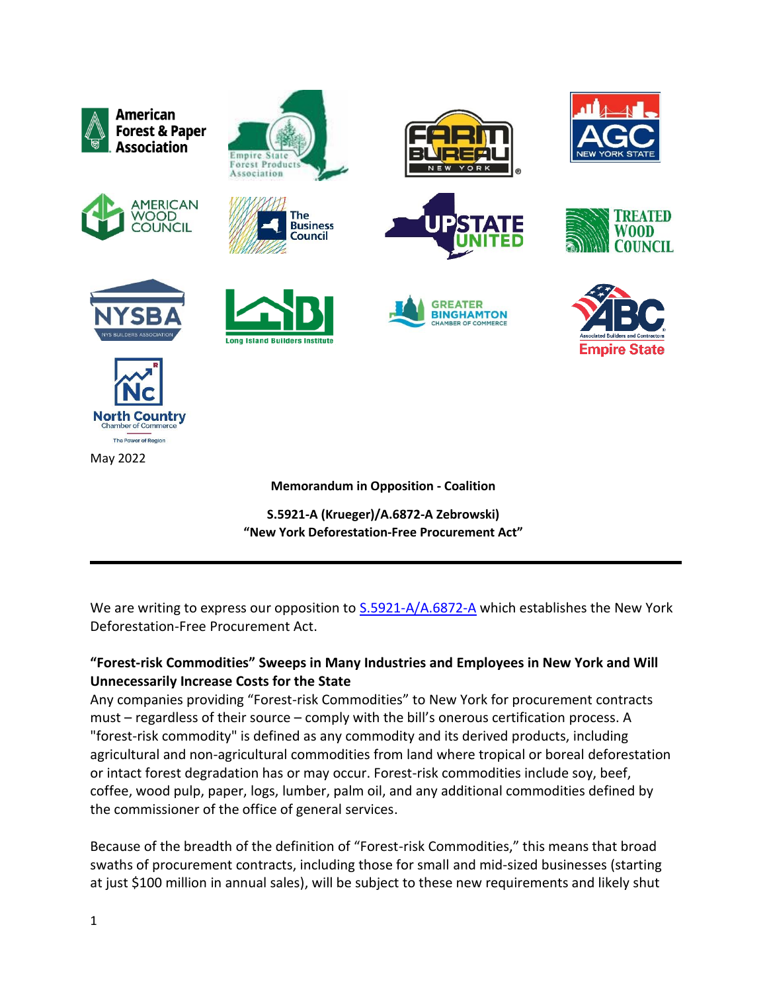

**S.5921-A (Krueger)/A.6872-A Zebrowski) "New York Deforestation-Free Procurement Act"**

We are writing to express our opposition to  $S.5921-A/A.6872-A$  which establishes the New York Deforestation-Free Procurement Act.

# **"Forest-risk Commodities" Sweeps in Many Industries and Employees in New York and Will Unnecessarily Increase Costs for the State**

Any companies providing "Forest-risk Commodities" to New York for procurement contracts must – regardless of their source – comply with the bill's onerous certification process. A "forest-risk commodity" is defined as any commodity and its derived products, including agricultural and non-agricultural commodities from land where tropical or boreal deforestation or intact forest degradation has or may occur. Forest-risk commodities include soy, beef, coffee, wood pulp, paper, logs, lumber, palm oil, and any additional commodities defined by the commissioner of the office of general services.

Because of the breadth of the definition of "Forest-risk Commodities," this means that broad swaths of procurement contracts, including those for small and mid-sized businesses (starting at just \$100 million in annual sales), will be subject to these new requirements and likely shut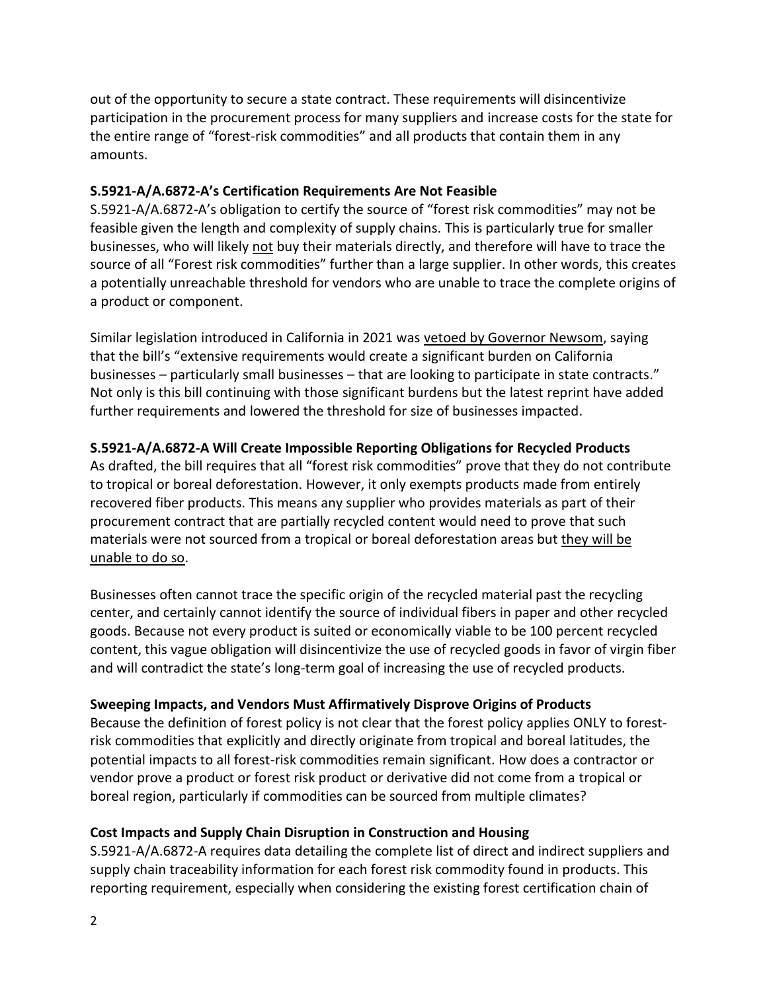out of the opportunity to secure a state contract. These requirements will disincentivize participation in the procurement process for many suppliers and increase costs for the state for the entire range of "forest-risk commodities" and all products that contain them in any amounts.

#### **S.5921-A/A.6872-A's Certification Requirements Are Not Feasible**

S.5921-A/A.6872-A's obligation to certify the source of "forest risk commodities" may not be feasible given the length and complexity of supply chains. This is particularly true for smaller businesses, who will likely not buy their materials directly, and therefore will have to trace the source of all "Forest risk commodities" further than a large supplier. In other words, this creates a potentially unreachable threshold for vendors who are unable to trace the complete origins of a product or component.

Similar legislation introduced in California in 2021 was vetoed by Governor Newsom, saying that the bill's "extensive requirements would create a significant burden on California businesses – particularly small businesses – that are looking to participate in state contracts." Not only is this bill continuing with those significant burdens but the latest reprint have added further requirements and lowered the threshold for size of businesses impacted.

## **S.5921-A/A.6872-A Will Create Impossible Reporting Obligations for Recycled Products**

As drafted, the bill requires that all "forest risk commodities" prove that they do not contribute to tropical or boreal deforestation. However, it only exempts products made from entirely recovered fiber products. This means any supplier who provides materials as part of their procurement contract that are partially recycled content would need to prove that such materials were not sourced from a tropical or boreal deforestation areas but they will be unable to do so.

Businesses often cannot trace the specific origin of the recycled material past the recycling center, and certainly cannot identify the source of individual fibers in paper and other recycled goods. Because not every product is suited or economically viable to be 100 percent recycled content, this vague obligation will disincentivize the use of recycled goods in favor of virgin fiber and will contradict the state's long-term goal of increasing the use of recycled products.

#### **Sweeping Impacts, and Vendors Must Affirmatively Disprove Origins of Products**

Because the definition of forest policy is not clear that the forest policy applies ONLY to forestrisk commodities that explicitly and directly originate from tropical and boreal latitudes, the potential impacts to all forest-risk commodities remain significant. How does a contractor or vendor prove a product or forest risk product or derivative did not come from a tropical or boreal region, particularly if commodities can be sourced from multiple climates?

## **Cost Impacts and Supply Chain Disruption in Construction and Housing**

S.5921-A/A.6872-A requires data detailing the complete list of direct and indirect suppliers and supply chain traceability information for each forest risk commodity found in products. This reporting requirement, especially when considering the existing forest certification chain of